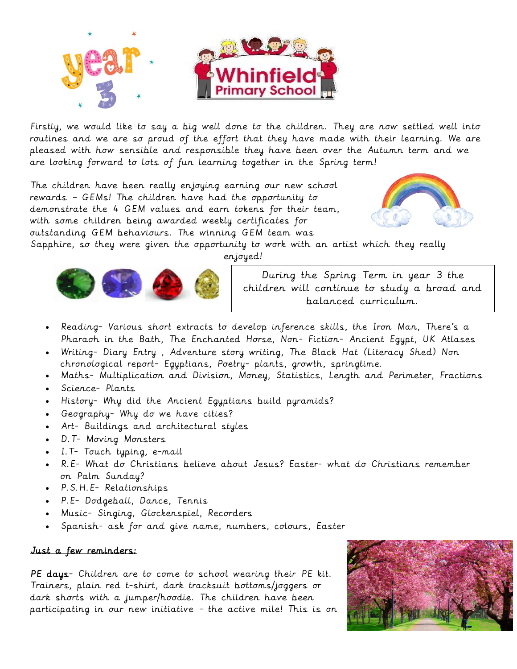

Firstly, we would like to say a big well done to the children. They are now settled well into routines and we are so proud of the effort that they have made with their learning. We are pleased with how sensible and responsible they have been over the Autumn term and we are looking forward to lots of fun learning together in the Spring term!

The children have been really enjoying earning our new school rewards – GEMs! The children have had the opportunity to demonstrate the 4 GEM values and earn tokens for their team, with some children being awarded weekly certificates for outstanding GEM behaviours. The winning GEM team was



Sapphire, so they were given the opportunity to work with an artist which they really

enjoyed!



During the Spring Term in year 3 the children will continue to study a broad and balanced curriculum.

- Reading- Various short extracts to develop inference skills, the Iron Man, There's a Pharaoh in the Bath, The Enchanted Horse, Non- Fiction- Ancient Egypt, UK Atlases
- Writing- Diary Entry , Adventure story writing, The Black Hat (Literacy Shed) Non chronological report- Egyptians, Poetry- plants, growth, springtime.
- Maths- Multiplication and Division, Money, Statistics, Length and Perimeter, Fractions
- Science- Plants
- History- Why did the Ancient Egyptians build pyramids?
- Geography- Why do we have cities?
- Art- Buildings and architectural styles
- D.T- Moving Monsters
- I.T- Touch typing, e-mail
- R.E- What do Christians believe about Jesus? Easter- what do Christians remember on Palm Sunday?
- P.S.H.E- Relationships
- P.E- Dodgeball, Dance, Tennis
- Music- Singing, Glockenspiel, Recorders
- Spanish- ask for and give name, numbers, colours, Easter

## Just a few reminders:

PE days- Children are to come to school wearing their PE kit. Trainers, plain red t-shirt, dark tracksuit bottoms/joggers or dark shorts with a jumper/hoodie. The children have been participating in our new initiative – the active mile! This is on